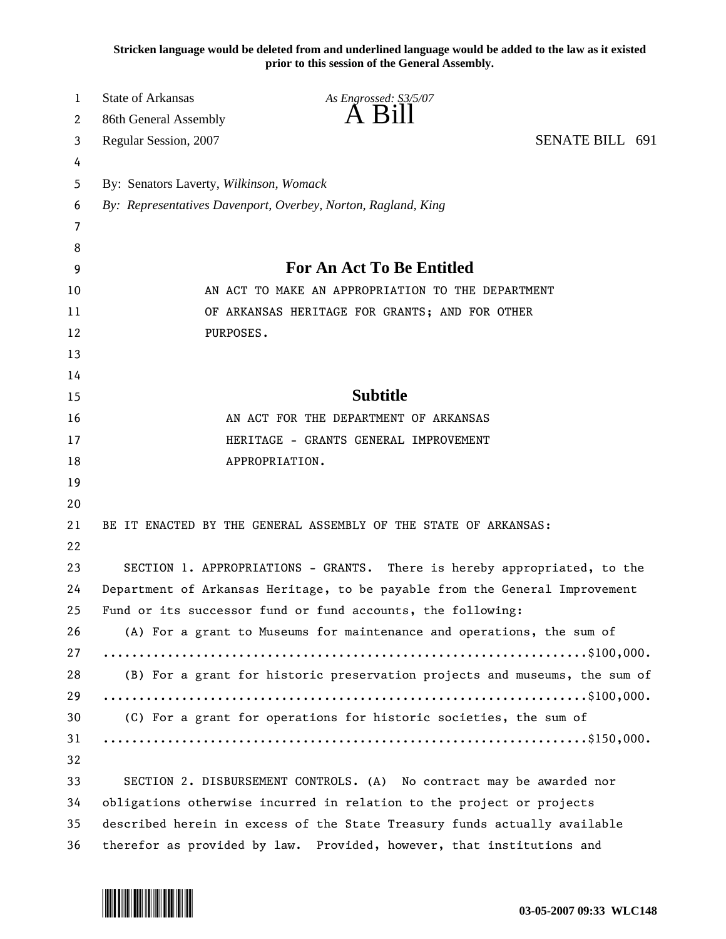**Stricken language would be deleted from and underlined language would be added to the law as it existed prior to this session of the General Assembly.**

| 1  | <b>State of Arkansas</b>                                                    | As Engrossed: S3/5/07                                                 |                 |
|----|-----------------------------------------------------------------------------|-----------------------------------------------------------------------|-----------------|
| 2  | 86th General Assembly                                                       | A Bill                                                                |                 |
| 3  | Regular Session, 2007                                                       |                                                                       | SENATE BILL 691 |
| 4  |                                                                             |                                                                       |                 |
| 5  | By: Senators Laverty, Wilkinson, Womack                                     |                                                                       |                 |
| 6  | By: Representatives Davenport, Overbey, Norton, Ragland, King               |                                                                       |                 |
| 7  |                                                                             |                                                                       |                 |
| 8  |                                                                             |                                                                       |                 |
| 9  | For An Act To Be Entitled                                                   |                                                                       |                 |
| 10 | AN ACT TO MAKE AN APPROPRIATION TO THE DEPARTMENT                           |                                                                       |                 |
| 11 | OF ARKANSAS HERITAGE FOR GRANTS; AND FOR OTHER                              |                                                                       |                 |
| 12 | PURPOSES.                                                                   |                                                                       |                 |
| 13 |                                                                             |                                                                       |                 |
| 14 |                                                                             |                                                                       |                 |
| 15 |                                                                             | <b>Subtitle</b>                                                       |                 |
| 16 | AN ACT FOR THE DEPARTMENT OF ARKANSAS                                       |                                                                       |                 |
| 17 | HERITAGE - GRANTS GENERAL IMPROVEMENT                                       |                                                                       |                 |
| 18 | APPROPRIATION.                                                              |                                                                       |                 |
| 19 |                                                                             |                                                                       |                 |
| 20 |                                                                             |                                                                       |                 |
| 21 |                                                                             | BE IT ENACTED BY THE GENERAL ASSEMBLY OF THE STATE OF ARKANSAS:       |                 |
| 22 |                                                                             |                                                                       |                 |
| 23 | SECTION 1. APPROPRIATIONS - GRANTS. There is hereby appropriated, to the    |                                                                       |                 |
| 24 | Department of Arkansas Heritage, to be payable from the General Improvement |                                                                       |                 |
| 25 | Fund or its successor fund or fund accounts, the following:                 |                                                                       |                 |
| 26 | (A) For a grant to Museums for maintenance and operations, the sum of       |                                                                       |                 |
| 27 |                                                                             |                                                                       |                 |
| 28 | (B) For a grant for historic preservation projects and museums, the sum of  |                                                                       |                 |
| 29 |                                                                             |                                                                       |                 |
| 30 | (C) For a grant for operations for historic societies, the sum of           |                                                                       |                 |
| 31 |                                                                             |                                                                       |                 |
| 32 |                                                                             |                                                                       |                 |
| 33 |                                                                             | SECTION 2. DISBURSEMENT CONTROLS. (A) No contract may be awarded nor  |                 |
| 34 | obligations otherwise incurred in relation to the project or projects       |                                                                       |                 |
| 35 | described herein in excess of the State Treasury funds actually available   |                                                                       |                 |
| 36 |                                                                             | therefor as provided by law. Provided, however, that institutions and |                 |

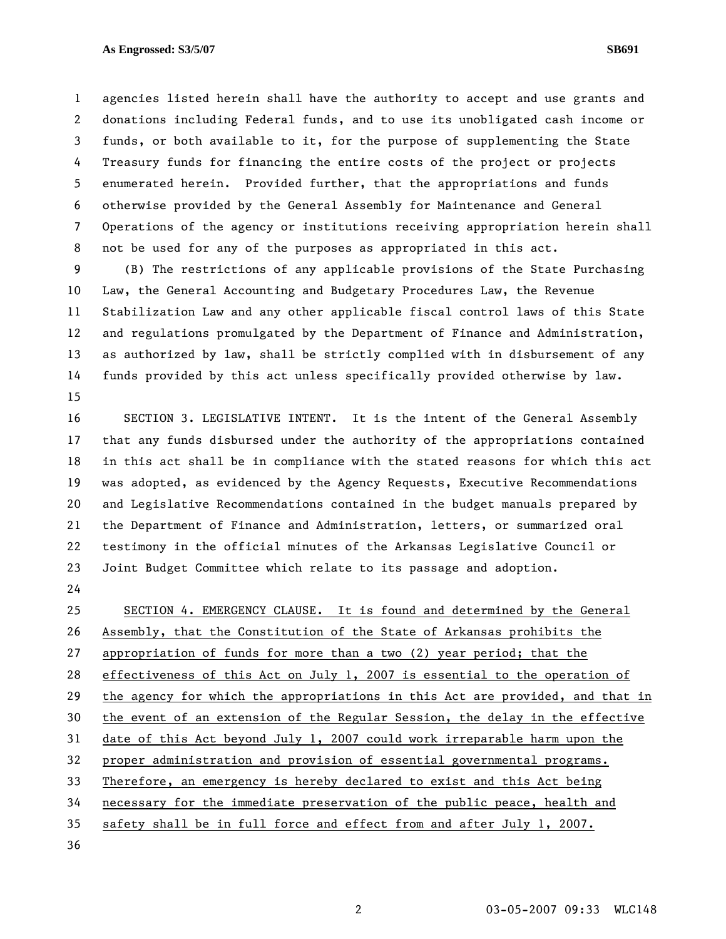## **As Engrossed: S3/5/07 SB691**

1 agencies listed herein shall have the authority to accept and use grants and 2 donations including Federal funds, and to use its unobligated cash income or 3 funds, or both available to it, for the purpose of supplementing the State 4 Treasury funds for financing the entire costs of the project or projects 5 enumerated herein. Provided further, that the appropriations and funds 6 otherwise provided by the General Assembly for Maintenance and General

7 Operations of the agency or institutions receiving appropriation herein shall 8 not be used for any of the purposes as appropriated in this act.

9 (B) The restrictions of any applicable provisions of the State Purchasing 10 Law, the General Accounting and Budgetary Procedures Law, the Revenue 11 Stabilization Law and any other applicable fiscal control laws of this State 12 and regulations promulgated by the Department of Finance and Administration, 13 as authorized by law, shall be strictly complied with in disbursement of any 14 funds provided by this act unless specifically provided otherwise by law. 15

16 SECTION 3. LEGISLATIVE INTENT. It is the intent of the General Assembly 17 that any funds disbursed under the authority of the appropriations contained 18 in this act shall be in compliance with the stated reasons for which this act 19 was adopted, as evidenced by the Agency Requests, Executive Recommendations 20 and Legislative Recommendations contained in the budget manuals prepared by 21 the Department of Finance and Administration, letters, or summarized oral 22 testimony in the official minutes of the Arkansas Legislative Council or 23 Joint Budget Committee which relate to its passage and adoption.

24

25 SECTION 4. EMERGENCY CLAUSE. It is found and determined by the General 26 Assembly, that the Constitution of the State of Arkansas prohibits the 27 appropriation of funds for more than a two (2) year period; that the 28 effectiveness of this Act on July 1, 2007 is essential to the operation of 29 the agency for which the appropriations in this Act are provided, and that in 30 the event of an extension of the Regular Session, the delay in the effective 31 date of this Act beyond July 1, 2007 could work irreparable harm upon the 32 proper administration and provision of essential governmental programs. 33 Therefore, an emergency is hereby declared to exist and this Act being 34 necessary for the immediate preservation of the public peace, health and 35 safety shall be in full force and effect from and after July 1, 2007.

36